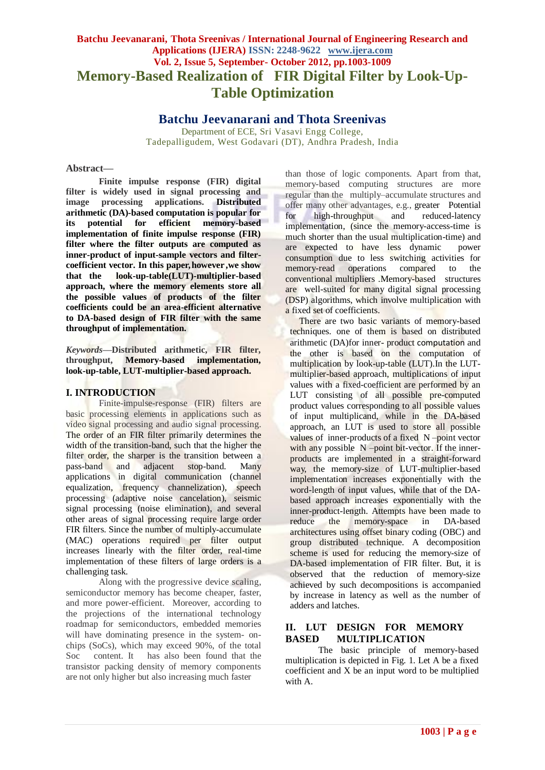# **Batchu Jeevanarani, Thota Sreenivas / International Journal of Engineering Research and Applications (IJERA) ISSN: 2248-9622 www.ijera.com Vol. 2, Issue 5, September- October 2012, pp.1003-1009 Memory-Based Realization of FIR Digital Filter by Look-Up-Table Optimization**

# **Batchu Jeevanarani and Thota Sreenivas**

Department of ECE, Sri Vasavi Engg College, Tadepalligudem, West Godavari (DT), Andhra Pradesh, India

### **Abstract—**

**Finite impulse response (FIR) digital filter is widely used in signal processing and image processing applications. Distributed arithmetic (DA)-based computation is popular for its potential for efficient memory-based implementation of finite impulse response (FIR) filter where the filter outputs are computed as inner-product of input-sample vectors and filtercoefficient vector. In this paper, however ,we show that the look-up-table(LUT)-multiplier-based approach, where the memory elements store all the possible values of products of the filter coefficients could be an area-efficient alternative to DA-based design of FIR filter with the same throughput of implementation.** 

*Keywords***—Distributed arithmetic, FIR filter, throughput, Memory-based implementation, look-up-table, LUT-multiplier-based approach.**

### **I. INTRODUCTION**

Finite-impulse-response (FIR) filters are basic processing elements in applications such as video signal processing and audio signal processing. The order of an FIR filter primarily determines the width of the transition-band, such that the higher the filter order, the sharper is the transition between a pass-band and adjacent stop-band. Many applications in digital communication (channel equalization, frequency channelization), speech processing (adaptive noise cancelation), seismic signal processing (noise elimination), and several other areas of signal processing require large order FIR filters. Since the number of multiply-accumulate (MAC) operations required per filter output increases linearly with the filter order, real-time implementation of these filters of large orders is a challenging task.

Along with the progressive device scaling, semiconductor memory has become cheaper, faster, and more power-efficient. Moreover, according to the projections of the international technology roadmap for semiconductors, embedded memories will have dominating presence in the system- onchips (SoCs), which may exceed 90%, of the total Soc content. It has also been found that the transistor packing density of memory components are not only higher but also increasing much faster

than those of logic components. Apart from that, memory-based computing structures are more regular than the multiply–accumulate structures and offer many other advantages, e.g., greater Potential for high-throughput and reduced-latency implementation, (since the memory-access-time is much shorter than the usual multiplication-time) and are expected to have less dynamic power consumption due to less switching activities for memory-read operations compared to the conventional multipliers .Memory-based structures are well-suited for many digital signal processing (DSP) algorithms, which involve multiplication with a fixed set of coefficients.

There are two basic variants of memory-based techniques. one of them is based on distributed arithmetic (DA)for inner- product computation and the other is based on the computation of multiplication by look-up-table (LUT).In the LUTmultiplier-based approach, multiplications of input values with a fixed-coefficient are performed by an LUT consisting of all possible pre-computed product values corresponding to all possible values of input multiplicand, while in the DA-based approach, an LUT is used to store all possible values of inner-products of a fixed N –point vector with any possible N –point bit-vector. If the innerproducts are implemented in a straight-forward way, the memory-size of LUT-multiplier-based implementation increases exponentially with the word-length of input values, while that of the DAbased approach increases exponentially with the inner-product-length. Attempts have been made to reduce the memory-space in DA-based architectures using offset binary coding (OBC) and group distributed technique. A decomposition scheme is used for reducing the memory-size of DA-based implementation of FIR filter. But, it is observed that the reduction of memory-size achieved by such decompositions is accompanied by increase in latency as well as the number of adders and latches.

# **II. LUT DESIGN FOR MEMORY BASED MULTIPLICATION**

The basic principle of memory-based multiplication is depicted in Fig. 1. Let A be a fixed coefficient and X be an input word to be multiplied with A.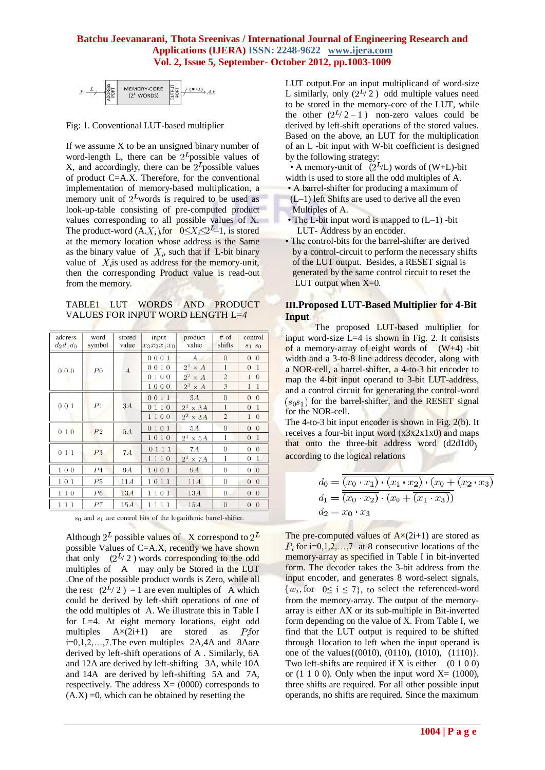

Fig: 1. Conventional LUT-based multiplier

If we assume X to be an unsigned binary number of word-length L, there can be  $2^L$ possible values of X, and accordingly, there can be  $2^L$  possible values of product C=A.X. Therefore, for the conventional implementation of memory-based multiplication, a memory unit of  $2^L$ words is required to be used as look-up-table consisting of pre-computed product values corresponding to all possible values of X. The product-word  $(A.X_i)$  for  $0 \leq X_i \leq 2^L-1$ , is stored at the memory location whose address is the Same as the binary value of  $X_i$ , such that if L-bit binary value of  $X_i$  is used as address for the memory-unit, then the corresponding Product value is read-out from the memory.

TABLE1 LUT WORDS AND PRODUCT VALUES FOR INPUT WORD LENGTH L=*4*

| $#$ of<br>address<br>word<br>stored<br>product<br>control<br>input<br>value<br>shifts<br>$d_2d_1d_0$<br>symbol<br>value<br>$x_3x_2x_1x_0$<br>$s_1$ $s_0$<br>0001<br>А<br>$\theta$<br>$\theta$<br>$\theta$<br>$2^{1}$<br>0010<br>$\times$ A<br>1<br>$\mathbf{1}$<br>$\theta$<br>000<br>P <sub>0</sub><br>$\boldsymbol{A}$<br>$2^2 \times A$<br>$\overline{c}$<br>0100<br>1<br>$\overline{0}$<br>$2^3$<br>3<br>1000<br>1<br>1<br>$\times$ A<br>$\theta$<br>0011<br>3A<br>$\overline{0}$<br>$\theta$<br>001<br>P1<br>3A<br>0110<br>$2^{1}$<br>1<br>$\overline{0}$<br>$\mathbf{1}$<br>$\times 3A$<br>$2^2 \times 3A$<br>1100<br>$\overline{c}$<br>$\mathbf{1}$<br>$\theta$<br>0101<br>5A<br>$\theta$<br>$\overline{0}$<br>$\theta$<br>5A<br>010<br>P <sub>2</sub><br>$2^1$<br>1<br>1010<br>$\overline{0}$<br>$\mathbf{1}$<br>$\times$ 5A<br>0111<br>7Α<br>$\theta$<br>$\overline{0}$<br>$\Omega$<br>011<br>P3<br>7A<br>$2^{1}$<br>1110<br>1<br>$\theta$<br>$\mathbf{1}$<br>$\times$ 7A<br>100<br>$P_{\rm 4}$<br>1001<br>$\theta$<br><b>9A</b><br><b>9A</b><br>$\boldsymbol{0}$<br>$\theta$<br>P5<br>11A<br>11A<br>$\theta$<br>$\overline{0}$<br>101<br>1011<br>$\Omega$<br>13A<br>110<br>P6<br>1101<br>13A<br>$\overline{0}$<br>$\theta$<br>$\Omega$<br>111<br>P7<br>$\overline{0}$<br>15A<br>1111<br>15A<br>$\overline{0}$<br>$\overline{0}$ |  |  |  |  |  |
|-------------------------------------------------------------------------------------------------------------------------------------------------------------------------------------------------------------------------------------------------------------------------------------------------------------------------------------------------------------------------------------------------------------------------------------------------------------------------------------------------------------------------------------------------------------------------------------------------------------------------------------------------------------------------------------------------------------------------------------------------------------------------------------------------------------------------------------------------------------------------------------------------------------------------------------------------------------------------------------------------------------------------------------------------------------------------------------------------------------------------------------------------------------------------------------------------------------------------------------------------------------------------------------------------------------------------------------------|--|--|--|--|--|
|                                                                                                                                                                                                                                                                                                                                                                                                                                                                                                                                                                                                                                                                                                                                                                                                                                                                                                                                                                                                                                                                                                                                                                                                                                                                                                                                           |  |  |  |  |  |
|                                                                                                                                                                                                                                                                                                                                                                                                                                                                                                                                                                                                                                                                                                                                                                                                                                                                                                                                                                                                                                                                                                                                                                                                                                                                                                                                           |  |  |  |  |  |
|                                                                                                                                                                                                                                                                                                                                                                                                                                                                                                                                                                                                                                                                                                                                                                                                                                                                                                                                                                                                                                                                                                                                                                                                                                                                                                                                           |  |  |  |  |  |
|                                                                                                                                                                                                                                                                                                                                                                                                                                                                                                                                                                                                                                                                                                                                                                                                                                                                                                                                                                                                                                                                                                                                                                                                                                                                                                                                           |  |  |  |  |  |
|                                                                                                                                                                                                                                                                                                                                                                                                                                                                                                                                                                                                                                                                                                                                                                                                                                                                                                                                                                                                                                                                                                                                                                                                                                                                                                                                           |  |  |  |  |  |
|                                                                                                                                                                                                                                                                                                                                                                                                                                                                                                                                                                                                                                                                                                                                                                                                                                                                                                                                                                                                                                                                                                                                                                                                                                                                                                                                           |  |  |  |  |  |
|                                                                                                                                                                                                                                                                                                                                                                                                                                                                                                                                                                                                                                                                                                                                                                                                                                                                                                                                                                                                                                                                                                                                                                                                                                                                                                                                           |  |  |  |  |  |
|                                                                                                                                                                                                                                                                                                                                                                                                                                                                                                                                                                                                                                                                                                                                                                                                                                                                                                                                                                                                                                                                                                                                                                                                                                                                                                                                           |  |  |  |  |  |
|                                                                                                                                                                                                                                                                                                                                                                                                                                                                                                                                                                                                                                                                                                                                                                                                                                                                                                                                                                                                                                                                                                                                                                                                                                                                                                                                           |  |  |  |  |  |
|                                                                                                                                                                                                                                                                                                                                                                                                                                                                                                                                                                                                                                                                                                                                                                                                                                                                                                                                                                                                                                                                                                                                                                                                                                                                                                                                           |  |  |  |  |  |
|                                                                                                                                                                                                                                                                                                                                                                                                                                                                                                                                                                                                                                                                                                                                                                                                                                                                                                                                                                                                                                                                                                                                                                                                                                                                                                                                           |  |  |  |  |  |
|                                                                                                                                                                                                                                                                                                                                                                                                                                                                                                                                                                                                                                                                                                                                                                                                                                                                                                                                                                                                                                                                                                                                                                                                                                                                                                                                           |  |  |  |  |  |
|                                                                                                                                                                                                                                                                                                                                                                                                                                                                                                                                                                                                                                                                                                                                                                                                                                                                                                                                                                                                                                                                                                                                                                                                                                                                                                                                           |  |  |  |  |  |
|                                                                                                                                                                                                                                                                                                                                                                                                                                                                                                                                                                                                                                                                                                                                                                                                                                                                                                                                                                                                                                                                                                                                                                                                                                                                                                                                           |  |  |  |  |  |
|                                                                                                                                                                                                                                                                                                                                                                                                                                                                                                                                                                                                                                                                                                                                                                                                                                                                                                                                                                                                                                                                                                                                                                                                                                                                                                                                           |  |  |  |  |  |
|                                                                                                                                                                                                                                                                                                                                                                                                                                                                                                                                                                                                                                                                                                                                                                                                                                                                                                                                                                                                                                                                                                                                                                                                                                                                                                                                           |  |  |  |  |  |
|                                                                                                                                                                                                                                                                                                                                                                                                                                                                                                                                                                                                                                                                                                                                                                                                                                                                                                                                                                                                                                                                                                                                                                                                                                                                                                                                           |  |  |  |  |  |
|                                                                                                                                                                                                                                                                                                                                                                                                                                                                                                                                                                                                                                                                                                                                                                                                                                                                                                                                                                                                                                                                                                                                                                                                                                                                                                                                           |  |  |  |  |  |
|                                                                                                                                                                                                                                                                                                                                                                                                                                                                                                                                                                                                                                                                                                                                                                                                                                                                                                                                                                                                                                                                                                                                                                                                                                                                                                                                           |  |  |  |  |  |

 $s_0$  and  $s_1$  are control bits of the logarithmic barrel-shifter.

Although  $2^L$  possible values of X correspond to  $2^L$ possible Values of C=A.X, recently we have shown that only  $(2^L/2)$  words corresponding to the odd multiples of A may only be Stored in the LUT .One of the possible product words is Zero, while all the rest  $(2^{L}/2)$  – 1 are even multiples of A which could be derived by left-shift operations of one of the odd multiples of A. We illustrate this in Table I for L=4. At eight memory locations, eight odd multiples  $A \times (2i+1)$  are stored as  $P_i$ for i=0,1,2,…,7.The even multiples 2A,4A and 8Aare derived by left-shift operations of A . Similarly, 6A and 12A are derived by left-shifting 3A, while 10A and 14A are derived by left-shifting 5A and 7A, respectively. The address  $X=(0000)$  corresponds to  $(A.X) = 0$ , which can be obtained by resetting the

LUT output.For an input multiplicand of word-size L similarly, only  $(2^{L/2})$  odd multiple values need to be stored in the memory-core of the LUT, while the other  $(2^L/2 - 1)$  non-zero values could be derived by left-shift operations of the stored values. Based on the above, an LUT for the multiplication of an L -bit input with W-bit coefficient is designed by the following strategy:

• A memory-unit of  $(2^L/L)$  words of (W+L)-bit width is used to store all the odd multiples of A.

- A barrel-shifter for producing a maximum of (L–1) left Shifts are used to derive all the even Multiples of A.
- The L-bit input word is mapped to (L–1) -bit LUT- Address by an encoder.
- The control-bits for the barrel-shifter are derived by a control-circuit to perform the necessary shifts of the LUT output. Besides, a RESET signal is generated by the same control circuit to reset the LUT output when  $X=0$ .

### **III.Proposed LUT-Based Multiplier for 4-Bit Input**

 The proposed LUT-based multiplier for input word-size  $L=4$  is shown in Fig. 2. It consists of a memory-array of eight words of  $(W+4)$  -bit width and a 3-to-8 line address decoder, along with a NOR-cell, a barrel-shifter, a 4-to-3 bit encoder to map the 4-bit input operand to 3-bit LUT-address, and a control circuit for generating the control-word  $(s_0s_1)$  for the barrel-shifter, and the RESET signal for the NOR-cell.

The 4-to-3 bit input encoder is shown in Fig. 2(b). It receives a four-bit input word  $(x3x2x1x0)$  and maps that onto the three-bit address word (d2d1d0) according to the logical relations

$$
d_0 = \overline{\overline{(x_0 \cdot x_1)} \cdot \overline{(x_1 \cdot x_2)} \cdot (x_0 + \overline{(x_2 \cdot x_3)}}d_1 = \overline{\overline{(x_0 \cdot x_2)} \cdot (x_0 + \overline{(x_1 \cdot x_3)})}d_2 = x_0 \cdot x_3
$$

The pre-computed values of  $A \times (2i+1)$  are stored as  $P_i$  for i=0,1,2,…,7 at 8 consecutive locations of the memory-array as specified in Table I in bit-inverted form. The decoder takes the 3-bit address from the input encoder, and generates 8 word-select signals,  $\{w_i, \text{for } 0 \le i \le 7\}$ , to select the referenced-word from the memory-array. The output of the memoryarray is either AX or its sub-multiple in Bit-inverted form depending on the value of X. From Table I, we find that the LUT output is required to be shifted through 1location to left when the input operand is one of the values{(0010), (0110), (1010), (1110)}. Two left-shifts are required if X is either  $(0 1 0 0)$ or (1 1 0 0). Only when the input word  $X=(1000)$ , three shifts are required. For all other possible input operands, no shifts are required. Since the maximum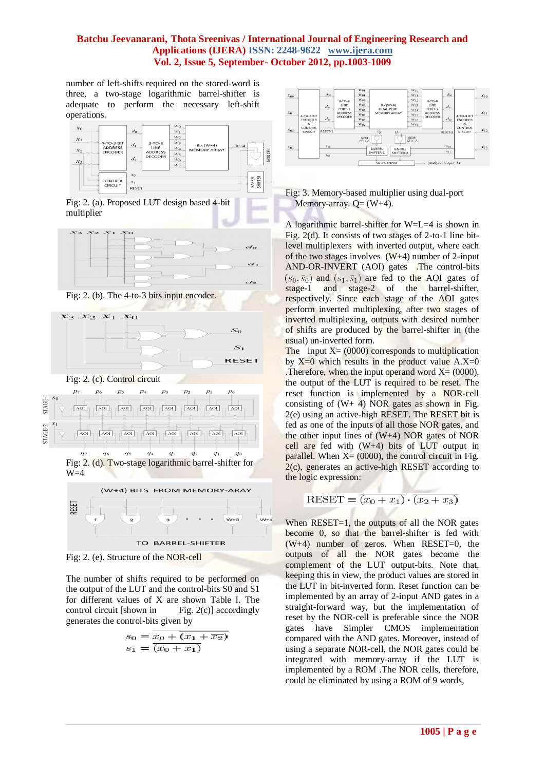number of left-shifts required on the stored-word is three, a two-stage logarithmic barrel-shifter is adequate to perform the necessary left-shift operations.







Fig: 2. (b). The 4-to-3 bits input encoder.



Fig: 2. (c). Control circuit



TO BARREL-SHIFTER

Fig: 2. (e). Structure of the NOR-cell

The number of shifts required to be performed on the output of the LUT and the control-bits S0 and S1 for different values of X are shown Table I. The control circuit [shown in Fig.  $2(c)$ ] accordingly generates the control-bits given by

$$
s_0 = \overline{x_0 + \overline{(x_1 + \overline{x_2})}}
$$

$$
s_1 = \overline{(x_0 + x_1)}
$$



# Fig: 3. Memory-based multiplier using dual-port Memory-array.  $Q = (W+4)$ .

A logarithmic barrel-shifter for W=L=4 is shown in Fig. 2(d). It consists of two stages of 2-to-1 line bitlevel multiplexers with inverted output, where each of the two stages involves  $(W+4)$  number of 2-input AND-OR-INVERT (AOI) gates .The control-bits  $(s_0, \bar{s}_0)$  and  $(s_1, \bar{s}_1)$  are fed to the AOI gates of stage-1 and stage-2 of the barrel-shifter, respectively. Since each stage of the AOI gates perform inverted multiplexing, after two stages of inverted multiplexing, outputs with desired number of shifts are produced by the barrel-shifter in (the usual) un-inverted form.

The input  $X = (0000)$  corresponds to multiplication by  $X=0$  which results in the product value  $A.X=0$ . Therefore, when the input operand word  $X = (0000)$ , the output of the LUT is required to be reset. The reset function is implemented by a NOR-cell consisting of  $(W+ 4)$  NOR gates as shown in Fig. 2(e) using an active-high RESET. The RESET bit is fed as one of the inputs of all those NOR gates, and the other input lines of (W+4) NOR gates of NOR cell are fed with  $(W+4)$  bits of LUT output in parallel. When  $X = (0000)$ , the control circuit in Fig. 2(c), generates an active-high RESET according to the logic expression:

$$
RESET = \overline{(x_0 + x_1)} \cdot \overline{(x_2 + x_3)}
$$

When  $RESET = 1$ , the outputs of all the NOR gates become 0, so that the barrel-shifter is fed with  $(W+4)$  number of zeros. When RESET=0, the outputs of all the NOR gates become the complement of the LUT output-bits. Note that, keeping this in view, the product values are stored in the LUT in bit-inverted form. Reset function can be implemented by an array of 2-input AND gates in a straight-forward way, but the implementation of reset by the NOR-cell is preferable since the NOR gates have Simpler CMOS implementation compared with the AND gates. Moreover, instead of using a separate NOR-cell, the NOR gates could be integrated with memory-array if the LUT is implemented by a ROM .The NOR cells, therefore, could be eliminated by using a ROM of 9 words,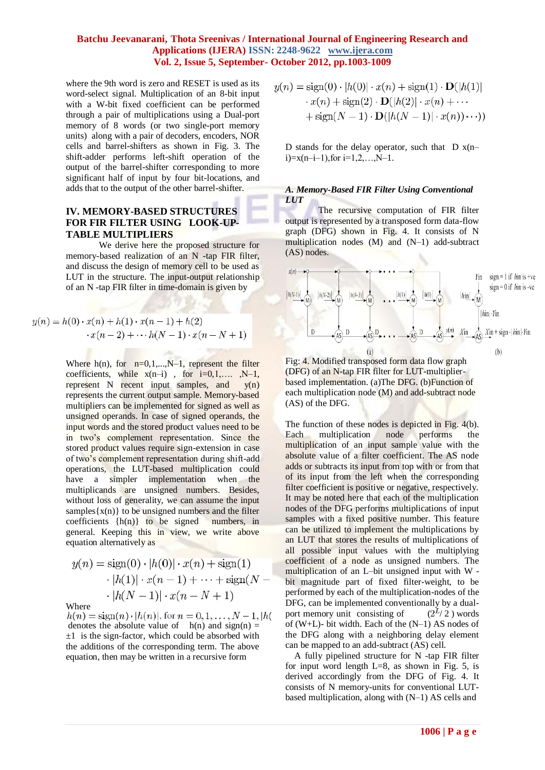where the 9th word is zero and RESET is used as its word-select signal. Multiplication of an 8-bit input with a W-bit fixed coefficient can be performed through a pair of multiplications using a Dual-port memory of 8 words (or two single-port memory units) along with a pair of decoders, encoders, NOR cells and barrel-shifters as shown in Fig. 3. The shift-adder performs left-shift operation of the output of the barrel-shifter corresponding to more significant half of input by four bit-locations, and adds that to the output of the other barrel-shifter.

# **IV. MEMORY-BASED STRUCTURES FOR FIR FILTER USING LOOK-UP-TABLE MULTIPLIERS**

We derive here the proposed structure for memory-based realization of an N -tap FIR filter, and discuss the design of memory cell to be used as LUT in the structure. The input-output relationship of an N -tap FIR filter in time-domain is given by

$$
y(n) = h(0) \cdot x(n) + h(1) \cdot x(n-1) + h(2)
$$
  
 
$$
\cdot x(n-2) + \cdots + h(N-1) \cdot x(n-N+1)
$$

Where  $h(n)$ , for  $n=0,1,...,N-1$ , represent the filter coefficients, while  $x(n-i)$ , for  $i=0,1,...$ ,  $N-1$ , represent N recent input samples, and y(n) represents the current output sample. Memory-based multipliers can be implemented for signed as well as unsigned operands. In case of signed operands, the input words and the stored product values need to be in two"s complement representation. Since the stored product values require sign-extension in case of two"s complement representation during shift-add operations, the LUT-based multiplication could have a simpler implementation when the multiplicands are unsigned numbers. Besides, without loss of generality, we can assume the input samples $\{x(n)\}\)$  to be unsigned numbers and the filter coefficients {h(n)} to be signed numbers, in general. Keeping this in view, we write above equation alternatively as

$$
y(n) = sign(0) \cdot |h(0)| \cdot x(n) + sign(1)
$$

$$
\cdot |h(1)| \cdot x(n-1) + \dots + sign(N - 1)
$$

$$
\cdot |h(N-1)| \cdot x(n-N+1)
$$

Where  $h(n) = \text{sign}(n) \cdot |h(n)|$ , for  $n = 0, 1, ..., N - 1$ ,  $|h(n)|$ denotes the absolute value of  $h(n)$  and sign(n) =  $\pm 1$  is the sign-factor, which could be absorbed with the additions of the corresponding term. The above equation, then may be written in a recursive form

$$
y(n) = sign(0) \cdot |h(0)| \cdot x(n) + sign(1) \cdot \mathbf{D}(|h(1)|
$$

$$
\cdot x(n) + sign(2) \cdot \mathbf{D}(|h(2)| \cdot x(n) + \cdots
$$

$$
+ sign(N - 1) \cdot \mathbf{D}(|h(N - 1)| \cdot x(n)) \cdots))
$$

D stands for the delay operator, such that  $D x(n$  $i)=x(n-i-1)$ , for  $i=1,2,...,N-1$ .

#### *A. Memory-Based FIR Filter Using Conventional LUT*

The recursive computation of FIR filter output is represented by a transposed form data-flow graph (DFG) shown in Fig. 4. It consists of N multiplication nodes (M) and (N–1) add-subtract (AS) nodes.

$$
x(n) \rightarrow 0
$$
\n
$$
y(n)
$$
\n
$$
y(n)
$$
\n
$$
y(n)
$$
\n
$$
y(n)
$$
\n
$$
y(n)
$$
\n
$$
y(n)
$$
\n
$$
y(n)
$$
\n
$$
y(n)
$$
\n
$$
y(n)
$$
\n
$$
y(n)
$$
\n
$$
y(n)
$$
\n
$$
y(n)
$$
\n
$$
y(n)
$$
\n
$$
y(n)
$$
\n
$$
y(n)
$$
\n
$$
y(n)
$$
\n
$$
y(n)
$$
\n
$$
y(n)
$$
\n
$$
y(n)
$$
\n
$$
y(n)
$$
\n
$$
y(n)
$$
\n
$$
y(n)
$$
\n
$$
y(n)
$$
\n
$$
y(n)
$$
\n
$$
y(n)
$$
\n
$$
y(n)
$$
\n
$$
y(n)
$$
\n
$$
y(n)
$$
\n
$$
y(n)
$$
\n
$$
y(n)
$$
\n
$$
y(n)
$$
\n
$$
y(n)
$$
\n
$$
y(n)
$$
\n
$$
y(n)
$$
\n
$$
y(n)
$$
\n
$$
y(n)
$$
\n
$$
y(n)
$$
\n
$$
y(n)
$$
\n
$$
y(n)
$$
\n
$$
y(n)
$$
\n
$$
y(n)
$$
\n
$$
y(n)
$$
\n
$$
y(n)
$$
\n
$$
y(n)
$$
\n
$$
y(n)
$$
\n
$$
y(n)
$$
\n
$$
y(n)
$$
\n
$$
y(n)
$$
\n
$$
y(n)
$$
\n
$$
y(n)
$$
\n
$$
y(n)
$$
\n
$$
y(n)
$$
\n
$$
y(n)
$$
\n
$$
y(n)
$$
\n
$$
y(n)
$$
\n
$$
y(n)
$$
\n
$$
y(n)
$$
\n
$$
y(n)
$$
\n
$$
y(n)
$$
\n
$$
y(n)
$$
\n
$$
y(n)
$$
\n
$$
y(n)
$$
\n<math display="</math>

Fig: 4. Modified transposed form data flow graph (DFG) of an N-tap FIR filter for LUT-multiplierbased implementation. (a)The DFG. (b)Function of each multiplication node (M) and add-subtract node (AS) of the DFG.

The function of these nodes is depicted in Fig. 4(b). Each multiplication node performs the multiplication of an input sample value with the absolute value of a filter coefficient. The AS node adds or subtracts its input from top with or from that of its input from the left when the corresponding filter coefficient is positive or negative, respectively. It may be noted here that each of the multiplication nodes of the DFG performs multiplications of input samples with a fixed positive number. This feature can be utilized to implement the multiplications by an LUT that stores the results of multiplications of all possible input values with the multiplying coefficient of a node as unsigned numbers. The multiplication of an L–bit unsigned input with W bit magnitude part of fixed filter-weight, to be performed by each of the multiplication-nodes of the DFG, can be implemented conventionally by a dualport memory unit consisting of  $(2^L/2)$  words of (W+L)- bit width. Each of the (N–1) AS nodes of the DFG along with a neighboring delay element can be mapped to an add-subtract (AS) cell.

 A fully pipelined structure for N -tap FIR filter for input word length  $L=8$ , as shown in Fig. 5, is derived accordingly from the DFG of Fig. 4. It consists of N memory-units for conventional LUTbased multiplication, along with (N–1) AS cells and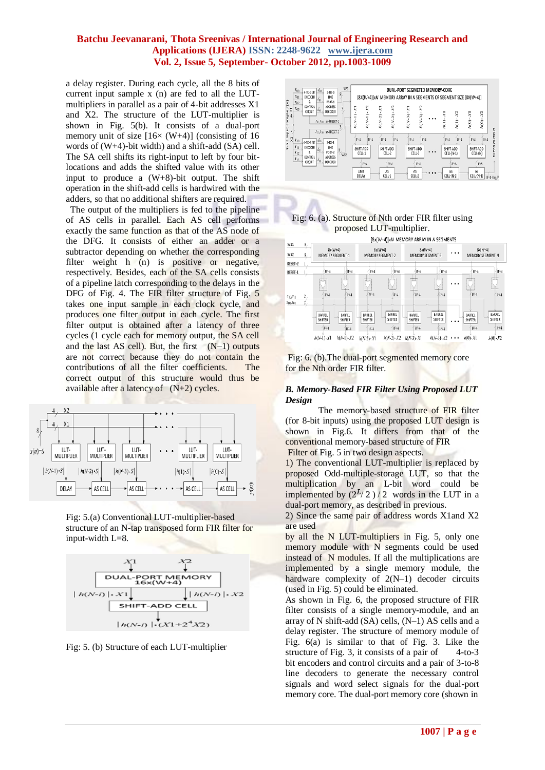a delay register. During each cycle, all the 8 bits of current input sample x (n) are fed to all the LUTmultipliers in parallel as a pair of 4-bit addresses X1 and X2. The structure of the LUT-multiplier is shown in Fig. 5(b). It consists of a dual-port memory unit of size  $[16 \times (W+4)]$  (consisting of 16) words of (W+4)-bit width) and a shift-add (SA) cell. The SA cell shifts its right-input to left by four bitlocations and adds the shifted value with its other input to produce a (W+8)-bit output. The shift operation in the shift-add cells is hardwired with the adders, so that no additional shifters are required.

 The output of the multipliers is fed to the pipeline of AS cells in parallel. Each AS cell performs exactly the same function as that of the AS node of the DFG. It consists of either an adder or a subtractor depending on whether the corresponding filter weight h (n) is positive or negative, respectively. Besides, each of the SA cells consists of a pipeline latch corresponding to the delays in the DFG of Fig. 4. The FIR filter structure of Fig. 5 takes one input sample in each clock cycle, and produces one filter output in each cycle. The first filter output is obtained after a latency of three cycles (1 cycle each for memory output, the SA cell and the last AS cell). But, the first  $(N-1)$  outputs are not correct because they do not contain the contributions of all the filter coefficients. The correct output of this structure would thus be available after a latency of  $(N+2)$  cycles.



Fig: 5.(a) Conventional LUT-multiplier-based structure of an N-tap transposed form FIR filter for input-width L=8.



Fig: 5. (b) Structure of each LUT-multiplier







Fig: 6. (b).The dual-port segmented memory core for the Nth order FIR filter.

### *B. Memory-Based FIR Filter Using Proposed LUT Design*

The memory-based structure of FIR filter (for 8-bit inputs) using the proposed LUT design is shown in Fig.6. It differs from that of the conventional memory-based structure of FIR

Filter of Fig. 5 in two design aspects.

1) The conventional LUT-multiplier is replaced by proposed Odd-multiple-storage LUT, so that the multiplication by an L-bit word could be implemented by  $(2^{L}/2)/2$  words in the LUT in a dual-port memory, as described in previous.

2) Since the same pair of address words X1and X2 are used

by all the N LUT-multipliers in Fig. 5, only one memory module with N segments could be used instead of N modules. If all the multiplications are implemented by a single memory module, the hardware complexity of 2(N–1) decoder circuits (used in Fig. 5) could be eliminated.

As shown in Fig. 6, the proposed structure of FIR filter consists of a single memory-module, and an array of N shift-add (SA) cells, (N–1) AS cells and a delay register. The structure of memory module of Fig. 6(a) is similar to that of Fig. 3. Like the structure of Fig. 3, it consists of a pair of  $4-to-3$ bit encoders and control circuits and a pair of 3-to-8 line decoders to generate the necessary control signals and word select signals for the dual-port memory core. The dual-port memory core (shown in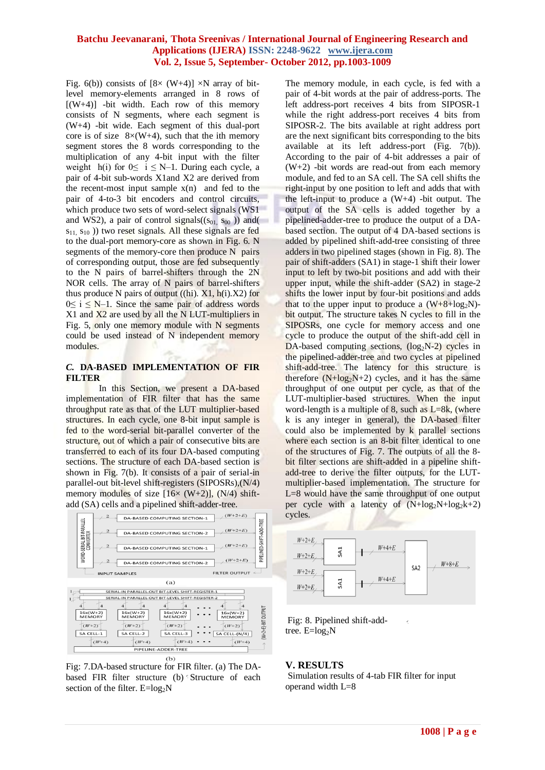Fig. 6(b)) consists of  $[8 \times (W+4)] \times N$  array of bitlevel memory-elements arranged in 8 rows of  $[(W+4)]$  -bit width. Each row of this memory consists of N segments, where each segment is (W+4) -bit wide. Each segment of this dual-port core is of size  $8\times$ (W+4), such that the ith memory segment stores the 8 words corresponding to the multiplication of any 4-bit input with the filter weight h(i) for  $0 \le i \le N-1$ . During each cycle, a pair of 4-bit sub-words X1and X2 are derived from the recent-most input sample  $x(n)$  and fed to the pair of 4-to-3 bit encoders and control circuits, which produce two sets of word-select signals (WS1 and WS2), a pair of control signals( $(s_{01}, s_{00})$ ) and(  $s_{11}$ ,  $s_{10}$ ) two reset signals. All these signals are fed to the dual-port memory-core as shown in Fig. 6. N segments of the memory-core then produce N pairs of corresponding output, those are fed subsequently to the N pairs of barrel-shifters through the 2N NOR cells. The array of N pairs of barrel-shifters thus produce N pairs of output ((hi).  $X1$ , h(i). $X2$ ) for  $0 \le i \le N-1$ . Since the same pair of address words X1 and X2 are used by all the N LUT-multipliers in Fig. 5, only one memory module with N segments could be used instead of N independent memory modules.

#### *C.* **DA-BASED IMPLEMENTATION OF FIR FILTER**

In this Section, we present a DA-based implementation of FIR filter that has the same throughput rate as that of the LUT multiplier-based structures. In each cycle, one 8-bit input sample is fed to the word-serial bit-parallel converter of the structure, out of which a pair of consecutive bits are transferred to each of its four DA-based computing sections. The structure of each DA-based section is shown in Fig. 7(b). It consists of a pair of serial-in parallel-out bit-level shift-registers (SIPOSRs),(N/4) memory modules of size  $[16 \times (W+2)]$ ,  $(N/4)$  shiftadd (SA) cells and a pipelined shift-adder-tree.



Fig: 7.DA-based structure for FIR filter. (a) The DAbased FIR filter structure (b) Structure of each section of the filter.  $E = log<sub>2</sub>N$ 

The memory module, in each cycle, is fed with a pair of 4-bit words at the pair of address-ports. The left address-port receives 4 bits from SIPOSR-1 while the right address-port receives 4 bits from SIPOSR-2. The bits available at right address port are the next significant bits corresponding to the bits available at its left address-port (Fig. 7(b)). According to the pair of 4-bit addresses a pair of  $(W+2)$  -bit words are read-out from each memory module, and fed to an SA cell. The SA cell shifts the right-input by one position to left and adds that with the left-input to produce a  $(W+4)$  -bit output. The output of the SA cells is added together by a pipelined-adder-tree to produce the output of a DAbased section. The output of 4 DA-based sections is added by pipelined shift-add-tree consisting of three adders in two pipelined stages (shown in Fig. 8). The pair of shift-adders (SA1) in stage-1 shift their lower input to left by two-bit positions and add with their upper input, while the shift-adder (SA2) in stage-2 shifts the lower input by four-bit positions and adds that to the upper input to produce a  $(W+8+log_2N)$ bit output. The structure takes N cycles to fill in the SIPOSRs, one cycle for memory access and one cycle to produce the output of the shift-add cell in DA-based computing sections,  $(\log_2N-2)$  cycles in the pipelined-adder-tree and two cycles at pipelined shift-add-tree. The latency for this structure is therefore  $(N + log<sub>2</sub>N+2)$  cycles, and it has the same throughput of one output per cycle, as that of the LUT-multiplier-based structures. When the input word-length is a multiple of 8, such as  $L=8k$ , (where k is any integer in general), the DA-based filter could also be implemented by k parallel sections where each section is an 8-bit filter identical to one of the structures of Fig. 7. The outputs of all the 8 bit filter sections are shift-added in a pipeline shiftadd-tree to derive the filter outputs, for the LUTmultiplier-based implementation. The structure for L=8 would have the same throughput of one output per cycle with a latency of  $(N+\log_2N+\log_2k+2)$ cycles.



 $\epsilon$ 

Fig: 8. Pipelined shift-addtree.  $E = log_2N$ 

### **V. RESULTS**

Simulation results of 4-tab FIR filter for input operand width L=8